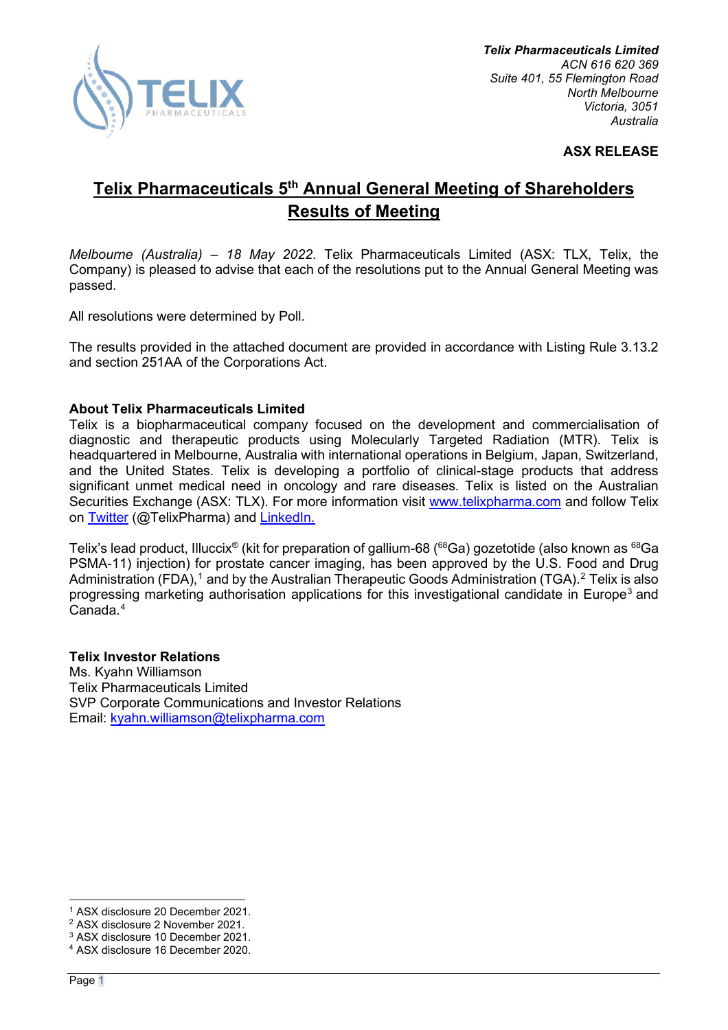

**ASX RELEASE**

# **Telix Pharmaceuticals 5th Annual General Meeting of Shareholders Results of Meeting**

*Melbourne (Australia) – 18 May 2022*. Telix Pharmaceuticals Limited (ASX: TLX, Telix, the Company) is pleased to advise that each of the resolutions put to the Annual General Meeting was passed.

All resolutions were determined by Poll.

The results provided in the attached document are provided in accordance with Listing Rule 3.13.2 and section 251AA of the Corporations Act.

## **About Telix Pharmaceuticals Limited**

Telix is a biopharmaceutical company focused on the development and commercialisation of diagnostic and therapeutic products using Molecularly Targeted Radiation (MTR). Telix is headquartered in Melbourne, Australia with international operations in Belgium, Japan, Switzerland, and the United States. Telix is developing a portfolio of clinical-stage products that address significant unmet medical need in oncology and rare diseases. Telix is listed on the Australian Securities Exchange (ASX: TLX). For more information visit [www.telixpharma.com](http://www.telixpharma.com/) and follow Telix on [Twitter](https://twitter.com/TelixPharma) (@TelixPharma) and [LinkedIn.](https://www.linkedin.com/company/telixpharma/)

Telix's lead product, Illuccix® (kit for preparation of gallium-68 (<sup>68</sup>Ga) gozetotide (also known as <sup>68</sup>Ga PSMA-11) injection) for prostate cancer imaging, has been approved by the U.S. Food and Drug Administration (FDA),<sup>[1](#page-0-0)</sup> and by the Australian Therapeutic Goods Administration (TGA).<sup>[2](#page-0-1)</sup> Telix is also progressing marketing authorisation applications for this investigational candidate in Europe<sup>[3](#page-0-2)</sup> and Canada.[4](#page-0-3)

## **Telix Investor Relations**

Ms. Kyahn Williamson Telix Pharmaceuticals Limited SVP Corporate Communications and Investor Relations Email: [kyahn.williamson@telixpharma.com](mailto:kyahn.williamson@telixpharma.com)

<span id="page-0-0"></span><sup>1</sup> ASX disclosure 20 December 2021.

<span id="page-0-1"></span><sup>2</sup> ASX disclosure 2 November 2021.

<span id="page-0-2"></span><sup>3</sup> ASX disclosure 10 December 2021.

<span id="page-0-3"></span><sup>4</sup> ASX disclosure 16 December 2020.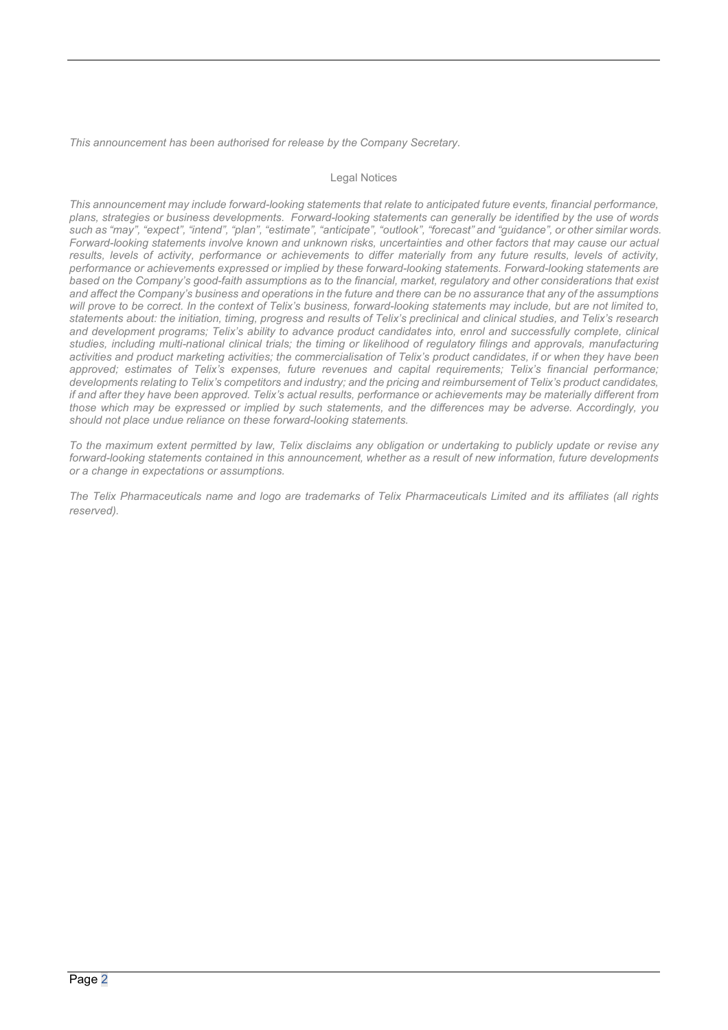*This announcement has been authorised for release by the Company Secretary.* 

#### Legal Notices

*This announcement may include forward-looking statements that relate to anticipated future events, financial performance, plans, strategies or business developments. Forward-looking statements can generally be identified by the use of words such as "may", "expect", "intend", "plan", "estimate", "anticipate", "outlook", "forecast" and "guidance", or other similar words. Forward-looking statements involve known and unknown risks, uncertainties and other factors that may cause our actual*  results, levels of activity, performance or achievements to differ materially from any future results, levels of activity, *performance or achievements expressed or implied by these forward-looking statements. Forward-looking statements are based on the Company's good-faith assumptions as to the financial, market, regulatory and other considerations that exist and affect the Company's business and operations in the future and there can be no assurance that any of the assumptions will prove to be correct. In the context of Telix's business, forward-looking statements may include, but are not limited to, statements about: the initiation, timing, progress and results of Telix's preclinical and clinical studies, and Telix's research and development programs; Telix's ability to advance product candidates into, enrol and successfully complete, clinical studies, including multi-national clinical trials; the timing or likelihood of regulatory filings and approvals, manufacturing activities and product marketing activities; the commercialisation of Telix's product candidates, if or when they have been approved; estimates of Telix's expenses, future revenues and capital requirements; Telix's financial performance; developments relating to Telix's competitors and industry; and the pricing and reimbursement of Telix's product candidates, if and after they have been approved. Telix's actual results, performance or achievements may be materially different from those which may be expressed or implied by such statements, and the differences may be adverse. Accordingly, you should not place undue reliance on these forward-looking statements.* 

*To the maximum extent permitted by law, Telix disclaims any obligation or undertaking to publicly update or revise any forward-looking statements contained in this announcement, whether as a result of new information, future developments or a change in expectations or assumptions.* 

*The Telix Pharmaceuticals name and logo are trademarks of Telix Pharmaceuticals Limited and its affiliates (all rights reserved).*